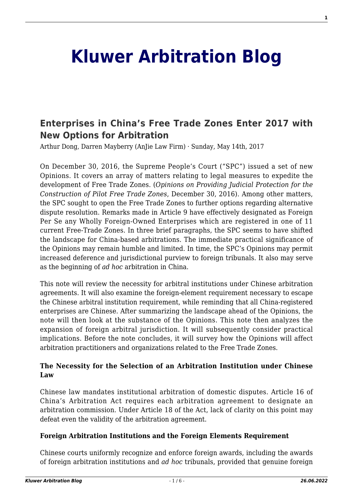# **[Kluwer Arbitration Blog](http://arbitrationblog.kluwerarbitration.com/)**

# **[Enterprises in China's Free Trade Zones Enter 2017 with](http://arbitrationblog.kluwerarbitration.com/2017/05/14/enterprises-in-chinas-free-trade-zones-enter-2017-with-new-options-for-arbitration/) [New Options for Arbitration](http://arbitrationblog.kluwerarbitration.com/2017/05/14/enterprises-in-chinas-free-trade-zones-enter-2017-with-new-options-for-arbitration/)**

Arthur Dong, Darren Mayberry (AnJie Law Firm) · Sunday, May 14th, 2017

On December 30, 2016, the Supreme People's Court ("SPC") issued a set of new Opinions. It covers an array of matters relating to legal measures to expedite the development of Free Trade Zones. (*Opinions on Providing Judicial Protection for the Construction of Pilot Free Trade Zones*, December 30, 2016). Among other matters, the SPC sought to open the Free Trade Zones to further options regarding alternative dispute resolution. Remarks made in Article 9 have effectively designated as Foreign Per Se any Wholly Foreign-Owned Enterprises which are registered in one of 11 current Free-Trade Zones. In three brief paragraphs, the SPC seems to have shifted the landscape for China-based arbitrations. The immediate practical significance of the Opinions may remain humble and limited. In time, the SPC's Opinions may permit increased deference and jurisdictional purview to foreign tribunals. It also may serve as the beginning of *ad hoc* arbitration in China.

This note will review the necessity for arbitral institutions under Chinese arbitration agreements. It will also examine the foreign-element requirement necessary to escape the Chinese arbitral institution requirement, while reminding that all China-registered enterprises are Chinese. After summarizing the landscape ahead of the Opinions, the note will then look at the substance of the Opinions. This note then analyzes the expansion of foreign arbitral jurisdiction. It will subsequently consider practical implications. Before the note concludes, it will survey how the Opinions will affect arbitration practitioners and organizations related to the Free Trade Zones.

#### **The Necessity for the Selection of an Arbitration Institution under Chinese Law**

Chinese law mandates institutional arbitration of domestic disputes. Article 16 of China's Arbitration Act requires each arbitration agreement to designate an arbitration commission. Under Article 18 of the Act, lack of clarity on this point may defeat even the validity of the arbitration agreement.

#### **Foreign Arbitration Institutions and the Foreign Elements Requirement**

Chinese courts uniformly recognize and enforce foreign awards, including the awards of foreign arbitration institutions and *ad hoc* tribunals, provided that genuine foreign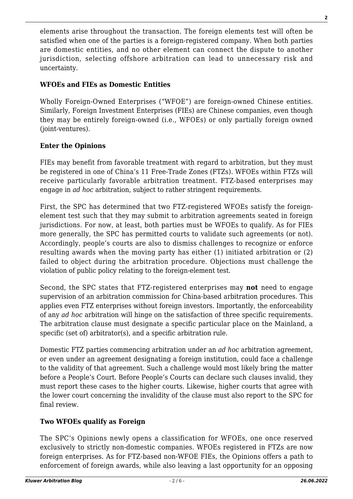elements arise throughout the transaction. The foreign elements test will often be satisfied when one of the parties is a foreign-registered company. When both parties are domestic entities, and no other element can connect the dispute to another jurisdiction, selecting offshore arbitration can lead to unnecessary risk and uncertainty.

# **WFOEs and FIEs as Domestic Entities**

Wholly Foreign-Owned Enterprises ("WFOE") are foreign-owned Chinese entities. Similarly, Foreign Investment Enterprises (FIEs) are Chinese companies, even though they may be entirely foreign-owned (i.e., WFOEs) or only partially foreign owned (joint-ventures).

# **Enter the Opinions**

FIEs may benefit from favorable treatment with regard to arbitration, but they must be registered in one of China's 11 Free-Trade Zones (FTZs). WFOEs within FTZs will receive particularly favorable arbitration treatment. FTZ-based enterprises may engage in *ad hoc* arbitration, subject to rather stringent requirements.

First, the SPC has determined that two FTZ-registered WFOEs satisfy the foreignelement test such that they may submit to arbitration agreements seated in foreign jurisdictions. For now, at least, both parties must be WFOEs to qualify. As for FIEs more generally, the SPC has permitted courts to validate such agreements (or not). Accordingly, people's courts are also to dismiss challenges to recognize or enforce resulting awards when the moving party has either (1) initiated arbitration or (2) failed to object during the arbitration procedure. Objections must challenge the violation of public policy relating to the foreign-element test.

Second, the SPC states that FTZ-registered enterprises may **not** need to engage supervision of an arbitration commission for China-based arbitration procedures. This applies even FTZ enterprises without foreign investors. Importantly, the enforceability of any *ad hoc* arbitration will hinge on the satisfaction of three specific requirements. The arbitration clause must designate a specific particular place on the Mainland, a specific (set of) arbitrator(s), and a specific arbitration rule.

Domestic FTZ parties commencing arbitration under an *ad hoc* arbitration agreement, or even under an agreement designating a foreign institution, could face a challenge to the validity of that agreement. Such a challenge would most likely bring the matter before a People's Court. Before People's Courts can declare such clauses invalid, they must report these cases to the higher courts. Likewise, higher courts that agree with the lower court concerning the invalidity of the clause must also report to the SPC for final review.

#### **Two WFOEs qualify as Foreign**

The SPC's Opinions newly opens a classification for WFOEs, one once reserved exclusively to strictly non-domestic companies. WFOEs registered in FTZs are now foreign enterprises. As for FTZ-based non-WFOE FIEs, the Opinions offers a path to enforcement of foreign awards, while also leaving a last opportunity for an opposing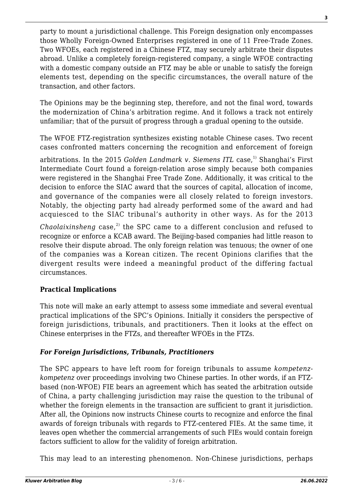party to mount a jurisdictional challenge. This Foreign designation only encompasses those Wholly Foreign-Owned Enterprises registered in one of 11 Free-Trade Zones. Two WFOEs, each registered in a Chinese FTZ, may securely arbitrate their disputes abroad. Unlike a completely foreign-registered company, a single WFOE contracting with a domestic company outside an FTZ may be able or unable to satisfy the foreign elements test, depending on the specific circumstances, the overall nature of the transaction, and other factors.

The Opinions may be the beginning step, therefore, and not the final word, towards the modernization of China's arbitration regime. And it follows a track not entirely unfamiliar; that of the pursuit of progress through a gradual opening to the outside.

The WFOE FTZ-registration synthesizes existing notable Chinese cases. Two recent cases confronted matters concerning the recognition and enforcement of foreign

arbitrations. In the 2015 *Golden Landmark v. Siemens ITL* case,<sup>1)</sup> Shanghai's First Intermediate Court found a foreign-relation arose simply because both companies were registered in the Shanghai Free Trade Zone. Additionally, it was critical to the decision to enforce the SIAC award that the sources of capital, allocation of income, and governance of the companies were all closely related to foreign investors. Notably, the objecting party had already performed some of the award and had acquiesced to the SIAC tribunal's authority in other ways. As for the 2013

*Chaolaixinsheng* case,<sup>2)</sup> the SPC came to a different conclusion and refused to recognize or enforce a KCAB award. The Beijing-based companies had little reason to resolve their dispute abroad. The only foreign relation was tenuous; the owner of one of the companies was a Korean citizen. The recent Opinions clarifies that the divergent results were indeed a meaningful product of the differing factual circumstances.

#### **Practical Implications**

This note will make an early attempt to assess some immediate and several eventual practical implications of the SPC's Opinions. Initially it considers the perspective of foreign jurisdictions, tribunals, and practitioners. Then it looks at the effect on Chinese enterprises in the FTZs, and thereafter WFOEs in the FTZs.

#### *For Foreign Jurisdictions, Tribunals, Practitioners*

The SPC appears to have left room for foreign tribunals to assume *kompetenzkompetenz* over proceedings involving two Chinese parties. In other words, if an FTZbased (non-WFOE) FIE bears an agreement which has seated the arbitration outside of China, a party challenging jurisdiction may raise the question to the tribunal of whether the foreign elements in the transaction are sufficient to grant it jurisdiction. After all, the Opinions now instructs Chinese courts to recognize and enforce the final awards of foreign tribunals with regards to FTZ-centered FIEs. At the same time, it leaves open whether the commercial arrangements of such FIEs would contain foreign factors sufficient to allow for the validity of foreign arbitration.

This may lead to an interesting phenomenon. Non-Chinese jurisdictions, perhaps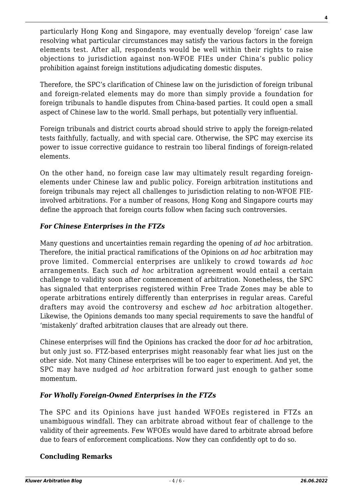particularly Hong Kong and Singapore, may eventually develop 'foreign' case law resolving what particular circumstances may satisfy the various factors in the foreign elements test. After all, respondents would be well within their rights to raise objections to jurisdiction against non-WFOE FIEs under China's public policy prohibition against foreign institutions adjudicating domestic disputes.

Therefore, the SPC's clarification of Chinese law on the jurisdiction of foreign tribunal and foreign-related elements may do more than simply provide a foundation for foreign tribunals to handle disputes from China-based parties. It could open a small aspect of Chinese law to the world. Small perhaps, but potentially very influential.

Foreign tribunals and district courts abroad should strive to apply the foreign-related tests faithfully, factually, and with special care. Otherwise, the SPC may exercise its power to issue corrective guidance to restrain too liberal findings of foreign-related elements.

On the other hand, no foreign case law may ultimately result regarding foreignelements under Chinese law and public policy. Foreign arbitration institutions and foreign tribunals may reject all challenges to jurisdiction relating to non-WFOE FIEinvolved arbitrations. For a number of reasons, Hong Kong and Singapore courts may define the approach that foreign courts follow when facing such controversies.

# *For Chinese Enterprises in the FTZs*

Many questions and uncertainties remain regarding the opening of *ad hoc* arbitration. Therefore, the initial practical ramifications of the Opinions on *ad hoc* arbitration may prove limited. Commercial enterprises are unlikely to crowd towards *ad hoc* arrangements. Each such *ad hoc* arbitration agreement would entail a certain challenge to validity soon after commencement of arbitration. Nonetheless, the SPC has signaled that enterprises registered within Free Trade Zones may be able to operate arbitrations entirely differently than enterprises in regular areas. Careful drafters may avoid the controversy and eschew *ad hoc* arbitration altogether. Likewise, the Opinions demands too many special requirements to save the handful of 'mistakenly' drafted arbitration clauses that are already out there.

Chinese enterprises will find the Opinions has cracked the door for *ad hoc* arbitration, but only just so. FTZ-based enterprises might reasonably fear what lies just on the other side. Not many Chinese enterprises will be too eager to experiment. And yet, the SPC may have nudged *ad hoc* arbitration forward just enough to gather some momentum.

#### *For Wholly Foreign-Owned Enterprises in the FTZs*

The SPC and its Opinions have just handed WFOEs registered in FTZs an unambiguous windfall. They can arbitrate abroad without fear of challenge to the validity of their agreements. Few WFOEs would have dared to arbitrate abroad before due to fears of enforcement complications. Now they can confidently opt to do so.

# **Concluding Remarks**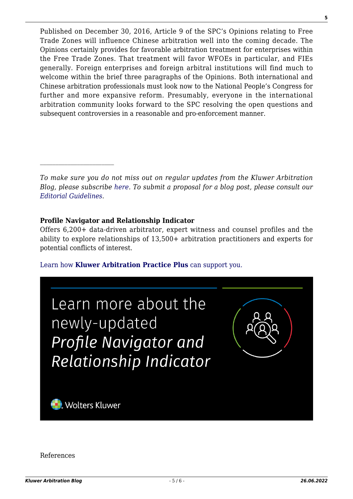Published on December 30, 2016, Article 9 of the SPC's Opinions relating to Free Trade Zones will influence Chinese arbitration well into the coming decade. The Opinions certainly provides for favorable arbitration treatment for enterprises within the Free Trade Zones. That treatment will favor WFOEs in particular, and FIEs generally. Foreign enterprises and foreign arbitral institutions will find much to welcome within the brief three paragraphs of the Opinions. Both international and Chinese arbitration professionals must look now to the National People's Congress for further and more expansive reform. Presumably, everyone in the international arbitration community looks forward to the SPC resolving the open questions and subsequent controversies in a reasonable and pro-enforcement manner.

*To make sure you do not miss out on regular updates from the Kluwer Arbitration Blog, please subscribe [here](http://arbitrationblog.kluwerarbitration.com/newsletter/). To submit a proposal for a blog post, please consult our [Editorial Guidelines.](http://arbitrationblog.kluwerarbitration.com/editorial-guidelines/)*

#### **Profile Navigator and Relationship Indicator**

Offers 6,200+ data-driven arbitrator, expert witness and counsel profiles and the ability to explore relationships of 13,500+ arbitration practitioners and experts for potential conflicts of interest.

[Learn how](https://www.wolterskluwer.com/en/solutions/kluwerarbitration/practiceplus?utm_source=arbitrationblog&utm_medium=articleCTA&utm_campaign=article-banner) **[Kluwer Arbitration Practice Plus](https://www.wolterskluwer.com/en/solutions/kluwerarbitration/practiceplus?utm_source=arbitrationblog&utm_medium=articleCTA&utm_campaign=article-banner)** [can support you.](https://www.wolterskluwer.com/en/solutions/kluwerarbitration/practiceplus?utm_source=arbitrationblog&utm_medium=articleCTA&utm_campaign=article-banner)



References

**5**